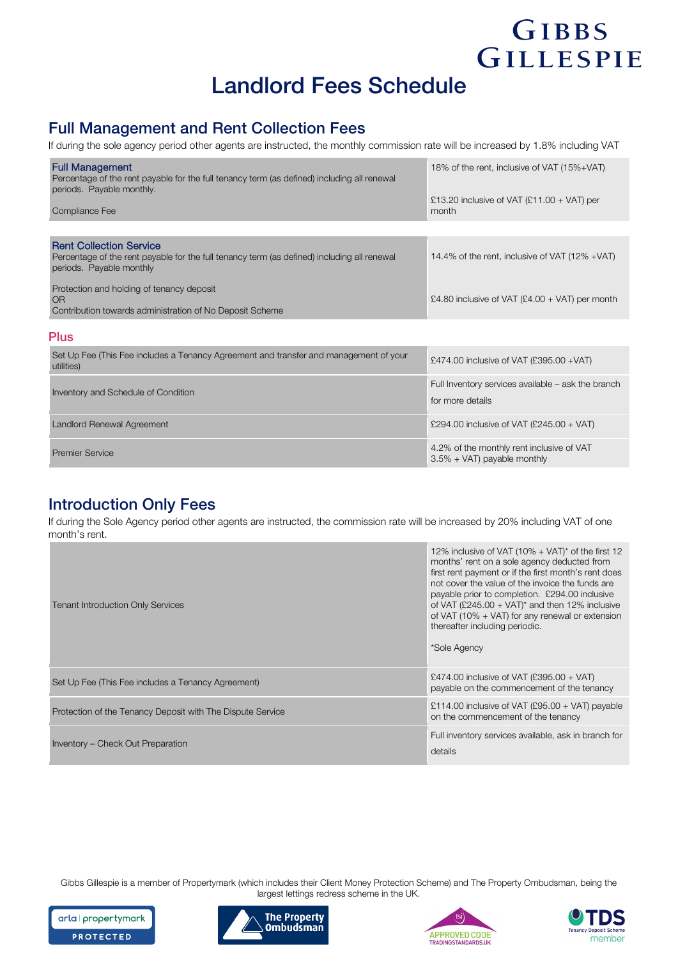# Landlord Fees Schedule

### Full Management and Rent Collection Fees

If during the sole agency period other agents are instructed, the monthly commission rate will be increased by 1.8% including VAT

| <b>Full Management</b><br>Percentage of the rent payable for the full tenancy term (as defined) including all renewal<br>periods. Payable monthly.        | 18% of the rent, inclusive of VAT (15%+VAT)           |
|-----------------------------------------------------------------------------------------------------------------------------------------------------------|-------------------------------------------------------|
| Compliance Fee                                                                                                                                            | £13.20 inclusive of VAT $(E11.00 + VAT)$ per<br>month |
|                                                                                                                                                           |                                                       |
| <b>Rent Collection Service</b><br>Percentage of the rent payable for the full tenancy term (as defined) including all renewal<br>periods. Payable monthly | 14.4% of the rent, inclusive of VAT (12% +VAT)        |
| Protection and holding of tenancy deposit<br><b>OR</b><br>Contribution towards administration of No Deposit Scheme                                        | £4.80 inclusive of VAT $(E4.00 + VAT)$ per month      |
| <b>Plus</b>                                                                                                                                               |                                                       |
| Set Up Fee (This Fee includes a Tenancy Agreement and transfer and management of your<br>utilities)                                                       | £474.00 inclusive of VAT (£395.00 + VAT)              |
|                                                                                                                                                           | Full Inventon convices available – ask the branch     |

| Inventory and Schedule of Condition | Full Inventory services available – ask the branch<br>for more details     |
|-------------------------------------|----------------------------------------------------------------------------|
| Landlord Renewal Agreement          | £294.00 inclusive of VAT (£245.00 + VAT)                                   |
| <b>Premier Service</b>              | 4.2% of the monthly rent inclusive of VAT<br>$3.5\% + VAT$ payable monthly |

#### Introduction Only Fees

If during the Sole Agency period other agents are instructed, the commission rate will be increased by 20% including VAT of one month's rent.

| Tenant Introduction Only Services                          | 12% inclusive of VAT (10% + VAT)* of the first 12<br>months' rent on a sole agency deducted from<br>first rent payment or if the first month's rent does<br>not cover the value of the invoice the funds are<br>payable prior to completion. £294.00 inclusive<br>of VAT (£245.00 + VAT)* and then 12% inclusive<br>of VAT (10% + VAT) for any renewal or extension<br>thereafter including periodic.<br>*Sole Agency |
|------------------------------------------------------------|-----------------------------------------------------------------------------------------------------------------------------------------------------------------------------------------------------------------------------------------------------------------------------------------------------------------------------------------------------------------------------------------------------------------------|
| Set Up Fee (This Fee includes a Tenancy Agreement)         | £474.00 inclusive of VAT (£395.00 + VAT)<br>payable on the commencement of the tenancy                                                                                                                                                                                                                                                                                                                                |
| Protection of the Tenancy Deposit with The Dispute Service | £114.00 inclusive of VAT (£95.00 + VAT) payable<br>on the commencement of the tenancy                                                                                                                                                                                                                                                                                                                                 |
| Inventory – Check Out Preparation                          | Full inventory services available, ask in branch for<br>details                                                                                                                                                                                                                                                                                                                                                       |

Gibbs Gillespie is a member of Propertymark (which includes their Client Money Protection Scheme) and The Property Ombudsman, being the largest lettings redress scheme in the UK.









GIBBS

GILLESPIE